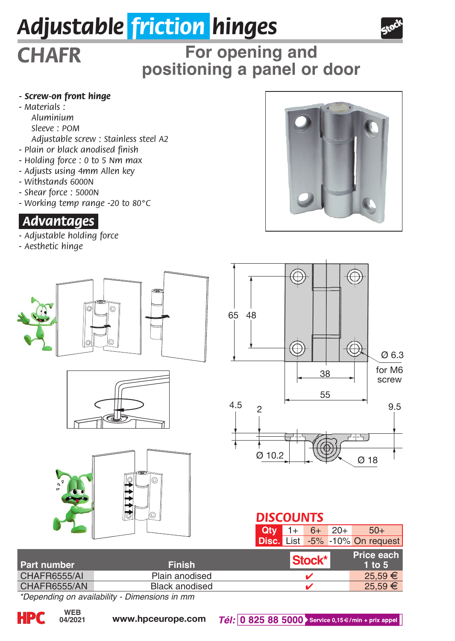## *Adjustable friction hinges*



# **For opening and positioning a panel or door** *CHAFR*

#### *- Screw-on front hinge*

*- Materials : Aluminium Sleeve : POM*

- *Adjustable screw : Stainless steel A2*
- *Plain or black anodised finish*
- *Holding force : 0 to 5 Nm max*
- *Adjusts using 4mm Allen key*
- *Withstands 6000N*
- *Shear force : 5000N*
- *Working temp range -20 to 80°C*

#### *.Advantages.*

- *Adjustable holding force*
- *Aesthetic hinge*





| l Part number | <b>Finish</b>  | Stock* | Price each<br>1 to $5$ |
|---------------|----------------|--------|------------------------|
| CHAFR6555/AI  | Plain anodised |        | $25.59 \in$            |
| CHAFR6555/AN  | Black anodised |        | 25.59€                 |
| $-$           | $-$            |        |                        |

*\*Depending on availability - Dimensions in mm*

**04/2021**